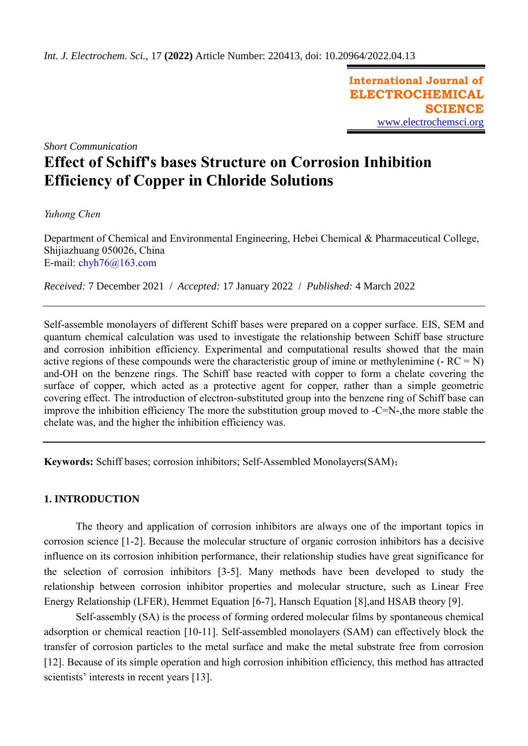**International Journal of ELECTROCHEMICAL SCIENCE** [www.electrochemsci.org](http://www.electrochemsci.org/)

*Short Communication*

# **Effect of Schiff's bases Structure on Corrosion Inhibition Efficiency of Copper in Chloride Solutions**

*Yuhong Chen* 

Department of Chemical and Environmental Engineering, Hebei Chemical & Pharmaceutical College, Shijiazhuang 050026, China E-mail: [chyh76@163.com](mailto:chyh76@163.com)

*Received:* 7 December 2021/ *Accepted:* 17 January 2022 / *Published:* 4 March 2022

Self-assemble monolayers of different Schiff bases were prepared on a copper surface. EIS, SEM and quantum chemical calculation was used to investigate the relationship between Schiff base structure and corrosion inhibition efficiency. Experimental and computational results showed that the main active regions of these compounds were the characteristic group of imine or methylenimine  $(-RC = N)$ and-OH on the benzene rings. The Schiff base reacted with copper to form a chelate covering the surface of copper, which acted as a protective agent for copper, rather than a simple geometric covering effect. The introduction of electron-substituted group into the benzene ring of Schiff base can improve the inhibition efficiency The more the substitution group moved to -C=N-,the more stable the chelate was, and the higher the inhibition efficiency was.

**Keywords:** Schiff bases; corrosion inhibitors; Self-Assembled Monolayers(SAM);

# **1. INTRODUCTION**

The theory and application of corrosion inhibitors are always one of the important topics in corrosion science [1-2]. Because the molecular structure of organic corrosion inhibitors has a decisive influence on its corrosion inhibition performance, their relationship studies have great significance for the selection of corrosion inhibitors [3-5]. Many methods have been developed to study the relationship between corrosion inhibitor properties and molecular structure, such as Linear Free Energy Relationship (LFER), Hemmet Equation [6-7], Hansch Equation [8],and HSAB theory [9].

Self-assembly (SA) is the process of forming ordered molecular films by spontaneous chemical adsorption or chemical reaction [10-11]. Self-assembled monolayers (SAM) can effectively block the transfer of corrosion particles to the metal surface and make the metal substrate free from corrosion [12]. Because of its simple operation and high corrosion inhibition efficiency, this method has attracted scientists' interests in recent years [13].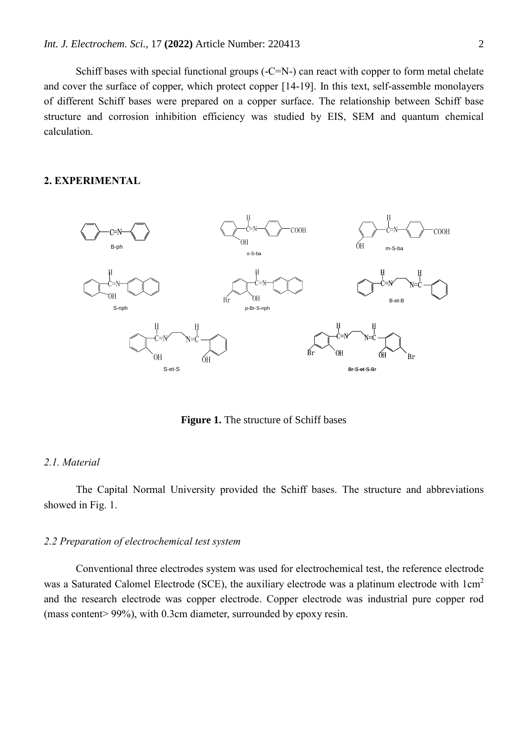Schiff bases with special functional groups (-C=N-) can react with copper to form metal chelate and cover the surface of copper, which protect copper [14-19]. In this text, self-assemble monolayers of different Schiff bases were prepared on a copper surface. The relationship between Schiff base structure and corrosion inhibition efficiency was studied by EIS, SEM and quantum chemical calculation.

# **2. EXPERIMENTAL**



**Figure 1.** The structure of Schiff bases

## *2.1. Material*

The Capital Normal University provided the Schiff bases. The structure and abbreviations showed in Fig. 1.

### *2.2 Preparation of electrochemical test system*

Conventional three electrodes system was used for electrochemical test, the reference electrode was a Saturated Calomel Electrode (SCE), the auxiliary electrode was a platinum electrode with  $1 \text{cm}^2$ and the research electrode was copper electrode. Copper electrode was industrial pure copper rod (mass content> 99%), with 0.3cm diameter, surrounded by epoxy resin.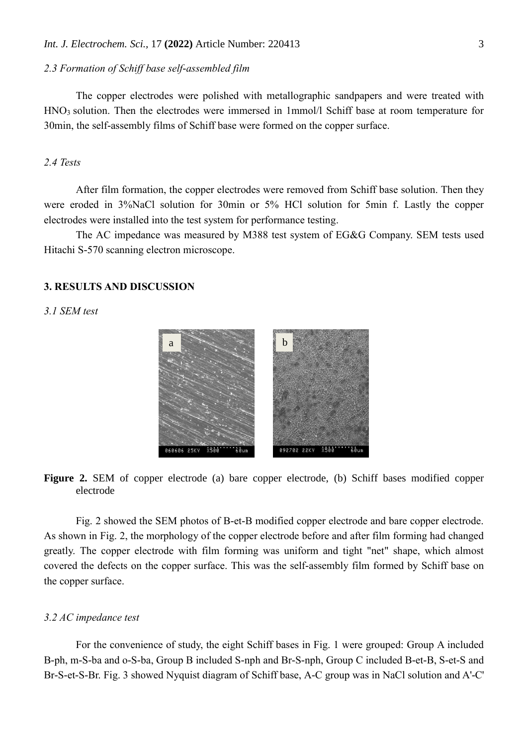## *2.3 Formation of Schiff base self-assembled film*

The copper electrodes were polished with metallographic sandpapers and were treated with HNO<sub>3</sub> solution. Then the electrodes were immersed in 1mmol/l Schiff base at room temperature for 30min, the self-assembly films of Schiff base were formed on the copper surface.

# *2.4 Tests*

After film formation, the copper electrodes were removed from Schiff base solution. Then they were eroded in 3%NaCl solution for 30min or 5% HCl solution for 5min f. Lastly the copper electrodes were installed into the test system for performance testing.

The AC impedance was measured by M388 test system of EG&G Company. SEM tests used Hitachi S-570 scanning electron microscope.

# **3. RESULTS AND DISCUSSION**

*3.1 SEM test*



**Figure 2.** SEM of copper electrode (a) bare copper electrode, (b) Schiff bases modified copper electrode

Fig. 2 showed the SEM photos of B-et-B modified copper electrode and bare copper electrode. As shown in Fig. 2, the morphology of the copper electrode before and after film forming had changed greatly. The copper electrode with film forming was uniform and tight "net" shape, which almost covered the defects on the copper surface. This was the self-assembly film formed by Schiff base on the copper surface.

## *3.2 AC impedance test*

For the convenience of study, the eight Schiff bases in Fig. 1 were grouped: Group A included B-ph, m-S-ba and o-S-ba, Group B included S-nph and Br-S-nph, Group C included B-et-B, S-et-S and Br-S-et-S-Br. Fig. 3 showed Nyquist diagram of Schiff base, A-C group was in NaCl solution and A'-C'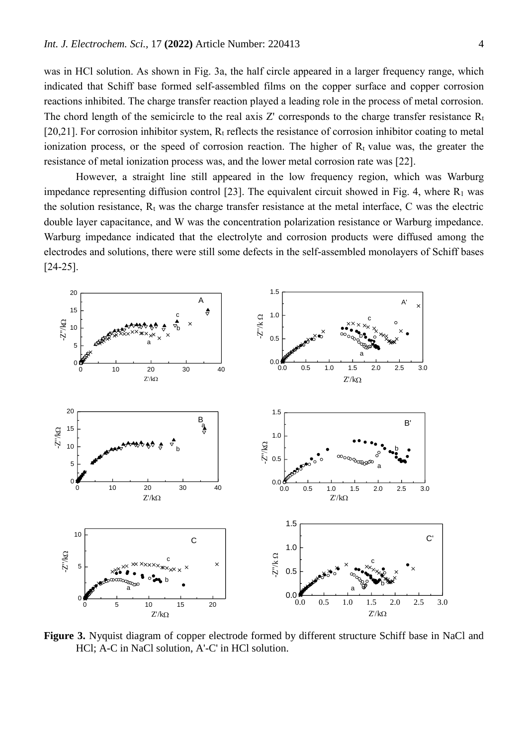was in HCl solution. As shown in Fig. 3a, the half circle appeared in a larger frequency range, which indicated that Schiff base formed self-assembled films on the copper surface and copper corrosion reactions inhibited. The charge transfer reaction played a leading role in the process of metal corrosion. The chord length of the semicircle to the real axis Z' corresponds to the charge transfer resistance  $R_t$ [20,21]. For corrosion inhibitor system,  $R_t$  reflects the resistance of corrosion inhibitor coating to metal ionization process, or the speed of corrosion reaction. The higher of  $R_t$  value was, the greater the resistance of metal ionization process was, and the lower metal corrosion rate was [22].

However, a straight line still appeared in the low frequency region, which was Warburg impedance representing diffusion control [23]. The equivalent circuit showed in Fig. 4, where  $R_1$  was the solution resistance,  $R_t$  was the charge transfer resistance at the metal interface,  $C$  was the electric double layer capacitance, and W was the concentration polarization resistance or Warburg impedance. Warburg impedance indicated that the electrolyte and corrosion products were diffused among the electrodes and solutions, there were still some defects in the self-assembled monolayers of Schiff bases [24-25].



**Figure 3.** Nyquist diagram of copper electrode formed by different structure Schiff base in NaCl and HCl; A-C in NaCl solution, A'-C' in HCl solution.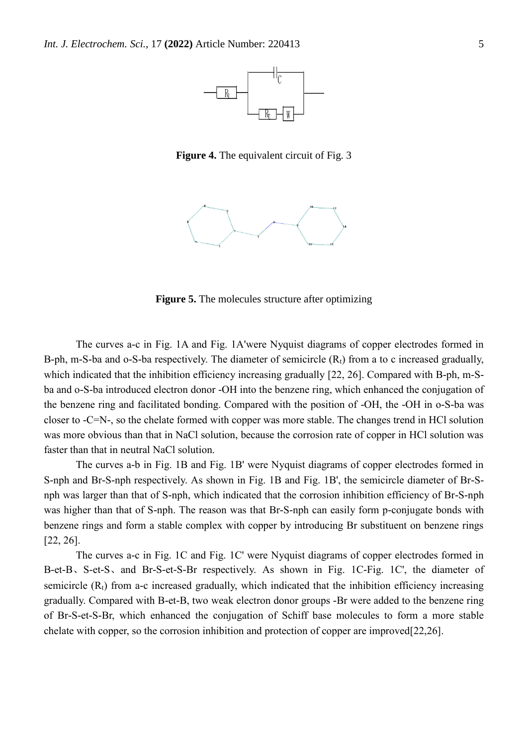

**Figure 4.** The equivalent circuit of Fig. 3



**Figure 5.** The molecules structure after optimizing

The curves a-c in Fig. 1A and Fig. 1A'were Nyquist diagrams of copper electrodes formed in B-ph, m-S-ba and o-S-ba respectively. The diameter of semicircle  $(R_t)$  from a to c increased gradually, which indicated that the inhibition efficiency increasing gradually [22, 26]. Compared with B-ph, m-Sba and o-S-ba introduced electron donor -OH into the benzene ring, which enhanced the conjugation of the benzene ring and facilitated bonding. Compared with the position of -OH, the -OH in o-S-ba was closer to -C=N-, so the chelate formed with copper was more stable. The changes trend in HCl solution was more obvious than that in NaCl solution, because the corrosion rate of copper in HCl solution was faster than that in neutral NaCl solution.

The curves a-b in Fig. 1B and Fig. 1B' were Nyquist diagrams of copper electrodes formed in S-nph and Br-S-nph respectively. As shown in Fig. 1B and Fig. 1B', the semicircle diameter of Br-Snph was larger than that of S-nph, which indicated that the corrosion inhibition efficiency of Br-S-nph was higher than that of S-nph. The reason was that Br-S-nph can easily form p-conjugate bonds with benzene rings and form a stable complex with copper by introducing Br substituent on benzene rings [22, 26].

The curves a-c in Fig. 1C and Fig. 1C' were Nyquist diagrams of copper electrodes formed in B-et-B、S-et-S、and Br-S-et-S-Br respectively. As shown in Fig. 1C-Fig. 1C', the diameter of semicircle  $(R_t)$  from a-c increased gradually, which indicated that the inhibition efficiency increasing gradually. Compared with B-et-B, two weak electron donor groups -Br were added to the benzene ring of Br-S-et-S-Br, which enhanced the conjugation of Schiff base molecules to form a more stable chelate with copper, so the corrosion inhibition and protection of copper are improved[22,26].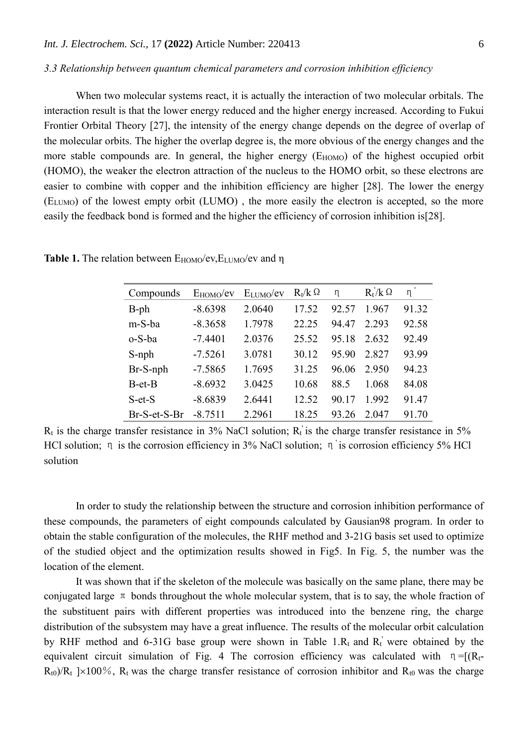### *3.3 Relationship between quantum chemical parameters and corrosion inhibition efficiency*

When two molecular systems react, it is actually the interaction of two molecular orbitals. The interaction result is that the lower energy reduced and the higher energy increased. According to Fukui Frontier Orbital Theory [27], the intensity of the energy change depends on the degree of overlap of the molecular orbits. The higher the overlap degree is, the more obvious of the energy changes and the more stable compounds are. In general, the higher energy (E<sub>HOMO</sub>) of the highest occupied orbit (HOMO), the weaker the electron attraction of the nucleus to the HOMO orbit, so these electrons are easier to combine with copper and the inhibition efficiency are higher [28]. The lower the energy (ELUMO) of the lowest empty orbit (LUMO) , the more easily the electron is accepted, so the more easily the feedback bond is formed and the higher the efficiency of corrosion inhibition is[28].

| Compounds    | $E_{HOMO}/ev$ | ELUMO/eV | $R_t/k$ $\Omega$ | η     | $R_t/K \Omega$ | η     |
|--------------|---------------|----------|------------------|-------|----------------|-------|
| $B$ -ph      | $-8.6398$     | 2.0640   | 17.52            | 92.57 | 1.967          | 91.32 |
| m-S-ba       | $-8.3658$     | 1.7978   | 22.25            | 94.47 | 2.293          | 92.58 |
| o-S-ba       | $-7.4401$     | 2.0376   | 25.52            | 95.18 | 2.632          | 92.49 |
| S-nph        | $-7.5261$     | 3.0781   | 30.12            | 95.90 | 2.827          | 93.99 |
| Br-S-nph     | $-7.5865$     | 1.7695   | 31.25            | 96.06 | 2.950          | 94.23 |
| $B$ -et- $B$ | $-8.6932$     | 3.0425   | 10.68            | 88.5  | 1.068          | 84.08 |
| $S$ -et- $S$ | $-8.6839$     | 2.6441   | 12.52            | 90.17 | 1.992          | 91.47 |
| Br-S-et-S-Br | $-8.7511$     | 2.2961   | 18.25            | 93.26 | 2.047          | 91.70 |

**Table 1.** The relation between E<sub>HOMO</sub>/ev, E<sub>LUMO</sub>/ev and η

 $R_t$  is the charge transfer resistance in 3% NaCl solution;  $R_t$  is the charge transfer resistance in 5% HCl solution; η is the corrosion efficiency in 3% NaCl solution; η is corrosion efficiency 5% HCl solution

In order to study the relationship between the structure and corrosion inhibition performance of these compounds, the parameters of eight compounds calculated by Gausian98 program. In order to obtain the stable configuration of the molecules, the RHF method and 3-21G basis set used to optimize of the studied object and the optimization results showed in Fig5. In Fig. 5, the number was the location of the element.

It was shown that if the skeleton of the molecule was basically on the same plane, there may be conjugated large  $\pi$  bonds throughout the whole molecular system, that is to say, the whole fraction of the substituent pairs with different properties was introduced into the benzene ring, the charge distribution of the subsystem may have a great influence. The results of the molecular orbit calculation by RHF method and 6-31G base group were shown in Table 1. $R_t$  and  $R_t$  were obtained by the equivalent circuit simulation of Fig. 4 The corrosion efficiency was calculated with  $\eta = [(R_t - R_t)]$  $R_{t0}$ )/ $R_t$  | $\times$ 100%,  $R_t$  was the charge transfer resistance of corrosion inhibitor and  $R_{t0}$  was the charge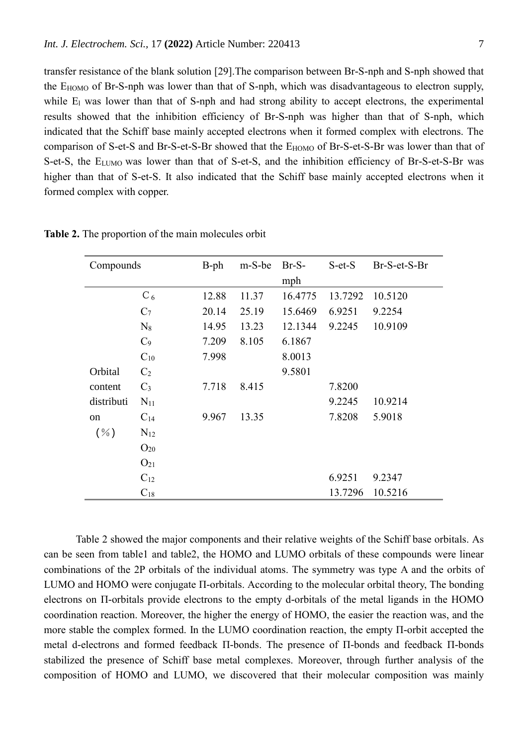transfer resistance of the blank solution [29].The comparison between Br-S-nph and S-nph showed that the EHOMO of Br-S-nph was lower than that of S-nph, which was disadvantageous to electron supply, while E<sub>l</sub> was lower than that of S-nph and had strong ability to accept electrons, the experimental results showed that the inhibition efficiency of Br-S-nph was higher than that of S-nph, which indicated that the Schiff base mainly accepted electrons when it formed complex with electrons. The comparison of S-et-S and Br-S-et-S-Br showed that the E<sub>HOMO</sub> of Br-S-et-S-Br was lower than that of S-et-S, the E<sub>LUMO</sub> was lower than that of S-et-S, and the inhibition efficiency of Br-S-et-S-Br was higher than that of S-et-S. It also indicated that the Schiff base mainly accepted electrons when it formed complex with copper.

| Compounds  |                | $B-ph$ | m-S-be | $Br-S-$ | $S$ -et- $S$ | Br-S-et-S-Br |
|------------|----------------|--------|--------|---------|--------------|--------------|
|            |                |        |        | mph     |              |              |
|            | $C_6$          | 12.88  | 11.37  | 16.4775 | 13.7292      | 10.5120      |
|            | C <sub>7</sub> | 20.14  | 25.19  | 15.6469 | 6.9251       | 9.2254       |
|            | $N_8$          | 14.95  | 13.23  | 12.1344 | 9.2245       | 10.9109      |
|            | $C_9$          | 7.209  | 8.105  | 6.1867  |              |              |
|            | $C_{10}$       | 7.998  |        | 8.0013  |              |              |
| Orbital    | $C_2$          |        |        | 9.5801  |              |              |
| content    | $C_3$          | 7.718  | 8.415  |         | 7.8200       |              |
| distributi | $N_{11}$       |        |        |         | 9.2245       | 10.9214      |
| on         | $C_{14}$       | 9.967  | 13.35  |         | 7.8208       | 5.9018       |
| $(\% )$    | $N_{12}$       |        |        |         |              |              |
|            | $O_{20}$       |        |        |         |              |              |
|            | $O_{21}$       |        |        |         |              |              |
|            | $C_{12}$       |        |        |         | 6.9251       | 9.2347       |
|            | $C_{18}$       |        |        |         | 13.7296      | 10.5216      |

**Table 2.** The proportion of the main molecules orbit

Table 2 showed the major components and their relative weights of the Schiff base orbitals. As can be seen from table1 and table2, the HOMO and LUMO orbitals of these compounds were linear combinations of the 2P orbitals of the individual atoms. The symmetry was type A and the orbits of LUMO and HOMO were conjugate Π-orbitals. According to the molecular orbital theory, The bonding electrons on Π-orbitals provide electrons to the empty d-orbitals of the metal ligands in the HOMO coordination reaction. Moreover, the higher the energy of HOMO, the easier the reaction was, and the more stable the complex formed. In the LUMO coordination reaction, the empty Π-orbit accepted the metal d-electrons and formed feedback Π-bonds. The presence of Π-bonds and feedback Π-bonds stabilized the presence of Schiff base metal complexes. Moreover, through further analysis of the composition of HOMO and LUMO, we discovered that their molecular composition was mainly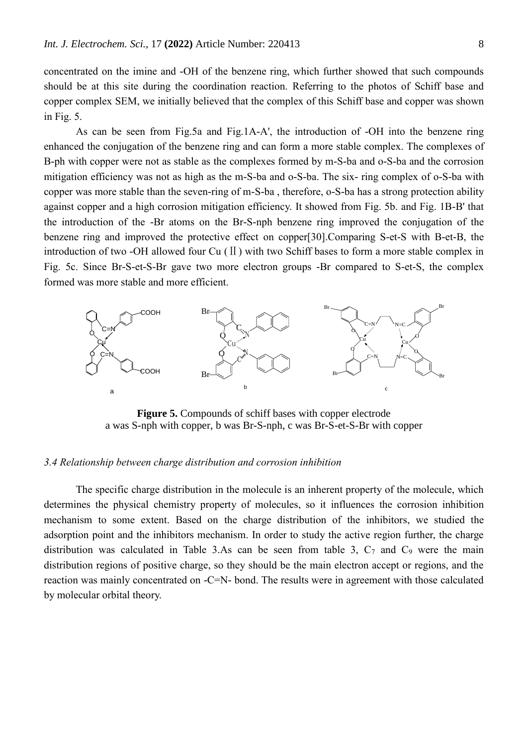concentrated on the imine and -OH of the benzene ring, which further showed that such compounds should be at this site during the coordination reaction. Referring to the photos of Schiff base and copper complex SEM, we initially believed that the complex of this Schiff base and copper was shown in Fig. 5.

As can be seen from Fig.5a and Fig.1A-A', the introduction of -OH into the benzene ring enhanced the conjugation of the benzene ring and can form a more stable complex. The complexes of B-ph with copper were not as stable as the complexes formed by m-S-ba and o-S-ba and the corrosion mitigation efficiency was not as high as the m-S-ba and o-S-ba. The six- ring complex of o-S-ba with copper was more stable than the seven-ring of m-S-ba , therefore, o-S-ba has a strong protection ability against copper and a high corrosion mitigation efficiency. It showed from Fig. 5b. and Fig. 1B-B' that the introduction of the -Br atoms on the Br-S-nph benzene ring improved the conjugation of the benzene ring and improved the protective effect on copper[30].Comparing S-et-S with B-et-B, the introduction of two -OH allowed four Cu (Ⅱ) with two Schiff bases to form a more stable complex in Fig. 5c. Since Br-S-et-S-Br gave two more electron groups -Br compared to S-et-S, the complex formed was more stable and more efficient.



**Figure 5.** Compounds of schiff bases with copper electrode a was S-nph with copper, b was Br-S-nph, c was Br-S-et-S-Br with copper

#### *3.4 Relationship between charge distribution and corrosion inhibition*

The specific charge distribution in the molecule is an inherent property of the molecule, which determines the physical chemistry property of molecules, so it influences the corrosion inhibition mechanism to some extent. Based on the charge distribution of the inhibitors, we studied the adsorption point and the inhibitors mechanism. In order to study the active region further, the charge distribution was calculated in Table 3.As can be seen from table 3,  $C_7$  and  $C_9$  were the main distribution regions of positive charge, so they should be the main electron accept or regions, and the reaction was mainly concentrated on -C=N- bond. The results were in agreement with those calculated by molecular orbital theory.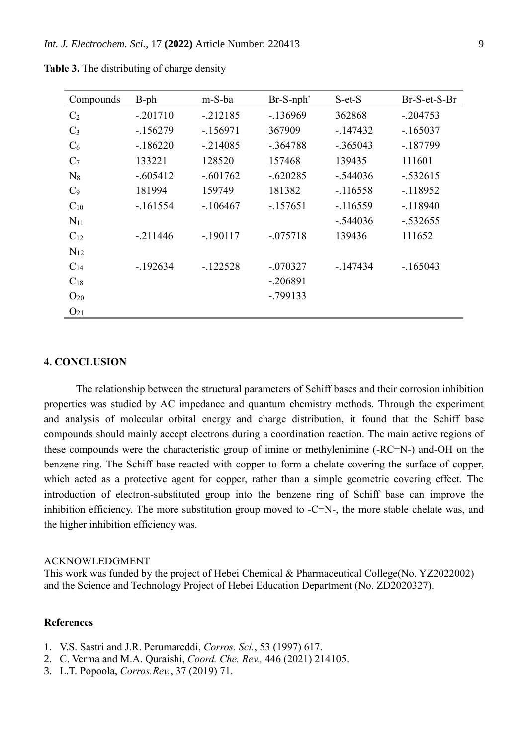| Compounds      | $B$ -ph    | m-S-ba     | Br-S-nph'  | $S$ -et- $S$ | $Br-S-et-S-Br$ |
|----------------|------------|------------|------------|--------------|----------------|
| C <sub>2</sub> | $-.201710$ | $-.212185$ | $-136969$  | 362868       | $-.204753$     |
| $C_3$          | $-156279$  | $-156971$  | 367909     | $-147432$    | $-165037$      |
| $C_6$          | $-186220$  | $-.214085$ | $-.364788$ | $-.365043$   | $-187799$      |
| $C_7$          | 133221     | 128520     | 157468     | 139435       | 111601         |
| $N_8$          | $-.605412$ | $-.601762$ | $-.620285$ | $-.544036$   | $-.532615$     |
| C <sub>9</sub> | 181994     | 159749     | 181382     | $-116558$    | $-118952$      |
| $C_{10}$       | $-161554$  | $-106467$  | $-157651$  | $-116559$    | $-118940$      |
| $N_{11}$       |            |            |            | $-.544036$   | $-.532655$     |
| $C_{12}$       | $-211446$  | $-.190117$ | $-.075718$ | 139436       | 111652         |
| $N_{12}$       |            |            |            |              |                |
| $C_{14}$       | $-192634$  | $-122528$  | $-.070327$ | $-147434$    | $-165043$      |
| $C_{18}$       |            |            | $-.206891$ |              |                |
| $O_{20}$       |            |            | $-.799133$ |              |                |
| $O_{21}$       |            |            |            |              |                |

**Table 3.** The distributing of charge density

#### **4. CONCLUSION**

The relationship between the structural parameters of Schiff bases and their corrosion inhibition properties was studied by AC impedance and quantum chemistry methods. Through the experiment and analysis of molecular orbital energy and charge distribution, it found that the Schiff base compounds should mainly accept electrons during a coordination reaction. The main active regions of these compounds were the characteristic group of imine or methylenimine (-RC=N-) and-OH on the benzene ring. The Schiff base reacted with copper to form a chelate covering the surface of copper, which acted as a protective agent for copper, rather than a simple geometric covering effect. The introduction of electron-substituted group into the benzene ring of Schiff base can improve the inhibition efficiency. The more substitution group moved to -C=N-, the more stable chelate was, and the higher inhibition efficiency was.

### ACKNOWLEDGMENT

This work was funded by the project of Hebei Chemical & Pharmaceutical College(No. YZ2022002) and the Science and Technology Project of Hebei Education Department (No. ZD2020327).

## **References**

- 1. V.S. Sastri and J.R. Perumareddi, *Corros. Sci.*, 53 (1997) 617.
- 2. C. Verma and M.A. Quraishi, *Coord. Che. Rev.,* 446 (2021) 214105.
- 3. L.T. Popoola, *Corros.Rev.*, 37 (2019) 71.